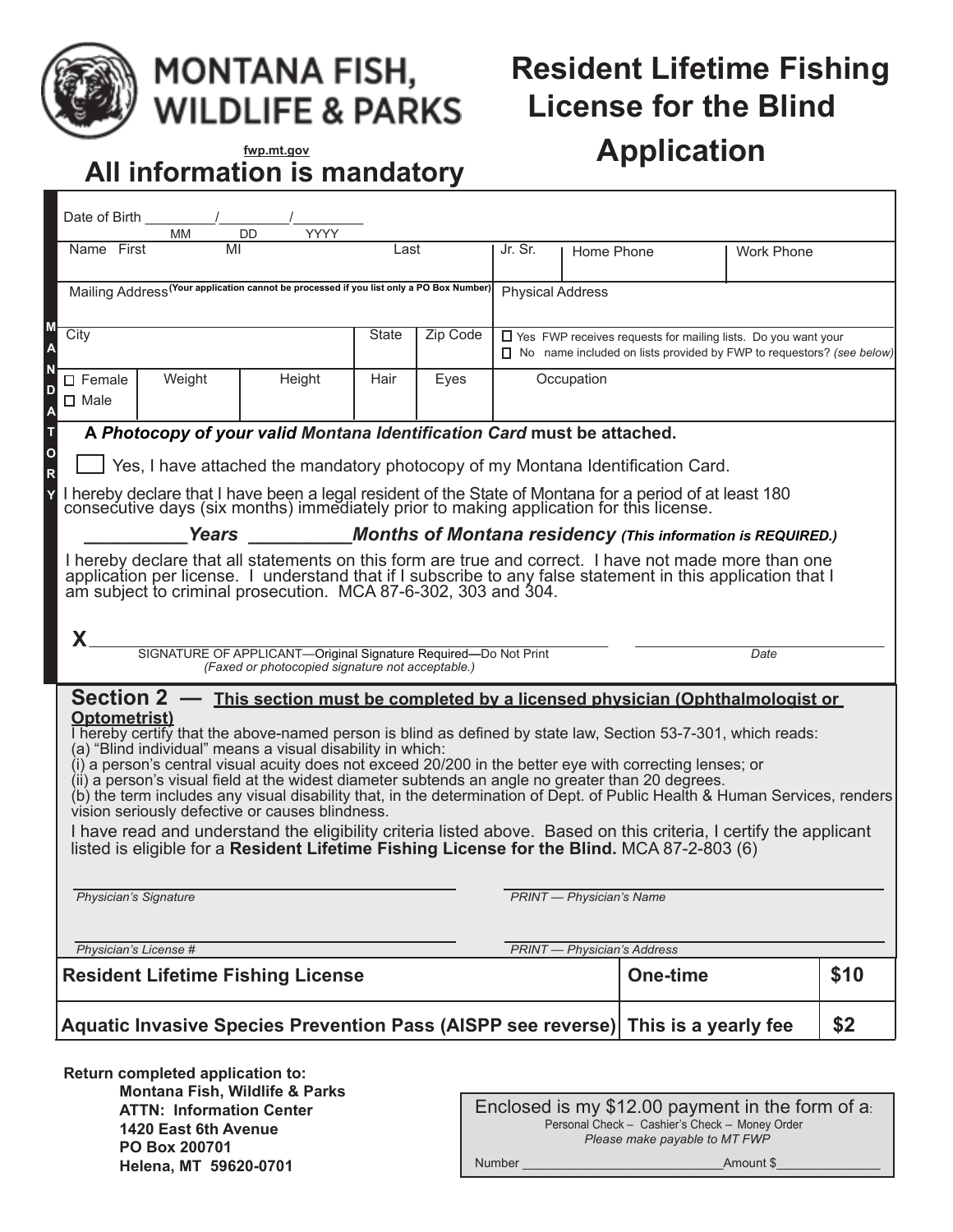

## **MONTANA FISH,** LDLIFE & PARKS

## **Resident Lifetime Fishing License for the Blind Application**

**All information is mandatory fwp.mt.gov**

| Date of Birth                                                                     | МM                               | YYYY<br>DD                                                                                                                                                                                                                                                                                                                                                                                                                                                                                                                                                                                                                                                                                                                                                                                                                                                                                   |          |                                                                                                                                           |                         |                                                                                                 |          |                   |      |  |
|-----------------------------------------------------------------------------------|----------------------------------|----------------------------------------------------------------------------------------------------------------------------------------------------------------------------------------------------------------------------------------------------------------------------------------------------------------------------------------------------------------------------------------------------------------------------------------------------------------------------------------------------------------------------------------------------------------------------------------------------------------------------------------------------------------------------------------------------------------------------------------------------------------------------------------------------------------------------------------------------------------------------------------------|----------|-------------------------------------------------------------------------------------------------------------------------------------------|-------------------------|-------------------------------------------------------------------------------------------------|----------|-------------------|------|--|
| Name First<br>MI                                                                  |                                  |                                                                                                                                                                                                                                                                                                                                                                                                                                                                                                                                                                                                                                                                                                                                                                                                                                                                                              |          | Last                                                                                                                                      |                         | Home Phone                                                                                      |          | <b>Work Phone</b> |      |  |
|                                                                                   |                                  | Mailing Address (Your application cannot be processed if you list only a PO Box Number)                                                                                                                                                                                                                                                                                                                                                                                                                                                                                                                                                                                                                                                                                                                                                                                                      |          |                                                                                                                                           | <b>Physical Address</b> |                                                                                                 |          |                   |      |  |
| City                                                                              |                                  | <b>State</b>                                                                                                                                                                                                                                                                                                                                                                                                                                                                                                                                                                                                                                                                                                                                                                                                                                                                                 | Zip Code | □ Yes FWP receives requests for mailing lists. Do you want your<br>□ No name included on lists provided by FWP to requestors? (see below) |                         |                                                                                                 |          |                   |      |  |
| $\square$ Female<br>$\square$ Male                                                | Weight                           | Height                                                                                                                                                                                                                                                                                                                                                                                                                                                                                                                                                                                                                                                                                                                                                                                                                                                                                       | Hair     | Eyes                                                                                                                                      | Occupation              |                                                                                                 |          |                   |      |  |
|                                                                                   |                                  | A Photocopy of your valid Montana Identification Card must be attached.                                                                                                                                                                                                                                                                                                                                                                                                                                                                                                                                                                                                                                                                                                                                                                                                                      |          |                                                                                                                                           |                         |                                                                                                 |          |                   |      |  |
|                                                                                   |                                  | Yes, I have attached the mandatory photocopy of my Montana Identification Card.                                                                                                                                                                                                                                                                                                                                                                                                                                                                                                                                                                                                                                                                                                                                                                                                              |          |                                                                                                                                           |                         |                                                                                                 |          |                   |      |  |
|                                                                                   |                                  | I hereby declare that I have been a legal resident of the State of Montana for a period of at least 180<br>consecutive days (six months) immediately prior to making application for this license.                                                                                                                                                                                                                                                                                                                                                                                                                                                                                                                                                                                                                                                                                           |          |                                                                                                                                           |                         |                                                                                                 |          |                   |      |  |
|                                                                                   |                                  | Years Months of Montana residency (This information is REQUIRED.)                                                                                                                                                                                                                                                                                                                                                                                                                                                                                                                                                                                                                                                                                                                                                                                                                            |          |                                                                                                                                           |                         |                                                                                                 |          |                   |      |  |
|                                                                                   |                                  | I hereby declare that all statements on this form are true and correct. I have not made more than one application per license. I understand that if I subscribe to any false statement in this application that I<br>am subject to criminal prosecution. MCA 87-6-302, 303 and 304.                                                                                                                                                                                                                                                                                                                                                                                                                                                                                                                                                                                                          |          |                                                                                                                                           |                         |                                                                                                 |          |                   |      |  |
| X                                                                                 |                                  |                                                                                                                                                                                                                                                                                                                                                                                                                                                                                                                                                                                                                                                                                                                                                                                                                                                                                              |          |                                                                                                                                           |                         |                                                                                                 |          |                   |      |  |
|                                                                                   |                                  | SIGNATURE OF APPLICANT-Original Signature Required-Do Not Print<br>(Faxed or photocopied signature not acceptable.)                                                                                                                                                                                                                                                                                                                                                                                                                                                                                                                                                                                                                                                                                                                                                                          |          |                                                                                                                                           |                         |                                                                                                 |          | Date              |      |  |
| Optometrist)<br>Physician's Signature                                             |                                  | Section 2 — This section must be completed by a licensed physician (Ophthalmologist or<br>I hereby certify that the above-named person is blind as defined by state law, Section 53-7-301, which reads:<br>(a) "Blind individual" means a visual disability in which:<br>$(i)$ a person's central visual acuity does not exceed 20/200 in the better eye with correcting lenses; or<br>(ii) a person's visual field at the widest diameter subtends an angle no greater than 20 degrees.<br>(b) the term includes any visual disability that, in the determination of Dept. of Public Health & Human Services, renders<br>vision seriously defective or causes blindness.<br>I have read and understand the eligibility criteria listed above. Based on this criteria, I certify the applicant<br>listed is eligible for a Resident Lifetime Fishing License for the Blind. MCA 87-2-803 (6) |          |                                                                                                                                           |                         | PRINT - Physician's Name                                                                        |          |                   |      |  |
|                                                                                   |                                  |                                                                                                                                                                                                                                                                                                                                                                                                                                                                                                                                                                                                                                                                                                                                                                                                                                                                                              |          |                                                                                                                                           |                         |                                                                                                 |          |                   |      |  |
| Physician's License #                                                             |                                  |                                                                                                                                                                                                                                                                                                                                                                                                                                                                                                                                                                                                                                                                                                                                                                                                                                                                                              |          |                                                                                                                                           |                         | PRINT - Physician's Address                                                                     |          |                   |      |  |
| <b>Resident Lifetime Fishing License</b>                                          |                                  |                                                                                                                                                                                                                                                                                                                                                                                                                                                                                                                                                                                                                                                                                                                                                                                                                                                                                              |          |                                                                                                                                           |                         |                                                                                                 | One-time |                   | \$10 |  |
| Aquatic Invasive Species Prevention Pass (AISPP see reverse) This is a yearly fee |                                  |                                                                                                                                                                                                                                                                                                                                                                                                                                                                                                                                                                                                                                                                                                                                                                                                                                                                                              |          |                                                                                                                                           |                         |                                                                                                 |          |                   | \$2  |  |
|                                                                                   | Return completed application to: | Montana Fish, Wildlife & Parks                                                                                                                                                                                                                                                                                                                                                                                                                                                                                                                                                                                                                                                                                                                                                                                                                                                               |          |                                                                                                                                           |                         |                                                                                                 |          |                   |      |  |
| <b>ATTN: Information Center</b>                                                   |                                  |                                                                                                                                                                                                                                                                                                                                                                                                                                                                                                                                                                                                                                                                                                                                                                                                                                                                                              |          |                                                                                                                                           |                         | Enclosed is my $$12.00$ payment in the form of a.<br>Dorsonal Chock Cashior's Chock Money Order |          |                   |      |  |

**1420 East 6th Avenue PO Box 200701 Helena, MT 59620-0701** Personal Check – Cashier's Check – Money Order *Please make payable to MT FWP*

Number \_\_\_\_\_\_\_\_\_\_\_\_\_\_\_\_\_\_\_\_\_\_\_\_\_\_\_\_\_Amount \$\_\_\_\_\_\_\_\_\_\_\_\_\_\_\_